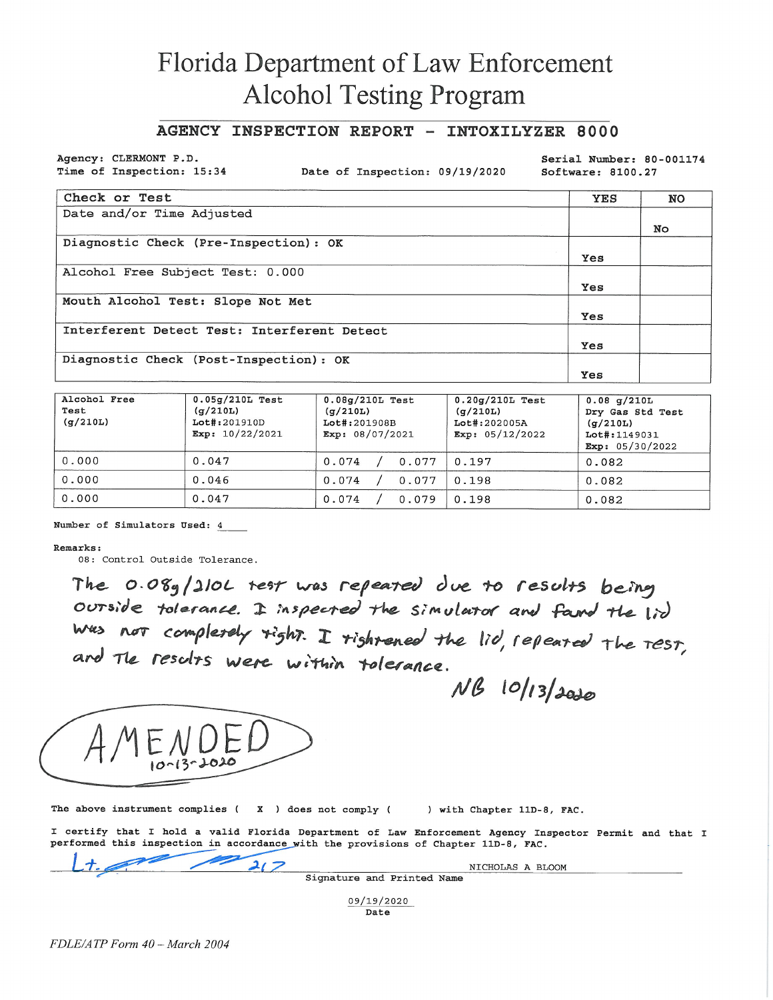# Florida Department of Law Enforcement **Alcohol Testing Program**

### AGENCY INSPECTION REPORT - INTOXILYZER 8000

Agency: CLERMONT P.D. Time of Inspection: 15:34

Date of Inspection: 09/19/2020

Serial Number: 80-001174 Software: 8100.27

| Check or Test                               | <b>YES</b> | <b>NO</b> |
|---------------------------------------------|------------|-----------|
| Date and/or Time Adjusted                   |            |           |
|                                             |            | No        |
| Diagnostic Check (Pre-Inspection): OK       |            |           |
|                                             | Yes        |           |
| Alcohol Free Subject Test: 0.000            |            |           |
|                                             | Yes        |           |
| Mouth Alcohol Test: Slope Not Met           |            |           |
|                                             | Yes        |           |
| Interferent Detect Test: Interferent Detect |            |           |
|                                             | Yes        |           |
| Diagnostic Check (Post-Inspection): OK      |            |           |
|                                             | Yes        |           |

| Alcohol Free<br>Test<br>(q/210L) | $0.05g/210L$ Test<br>(q/210L)<br>Lot#:201910D<br>Exp: $10/22/2021$ | $0.08q/210L$ Test<br>(q/210L)<br>Lot#:201908B<br>Exp: $08/07/2021$ | $0.20q/210L$ Test<br>(q/210L)<br>Lot#:202005A<br>Exp: $05/12/2022$ | $0.08$ g/210L<br>Dry Gas Std Test<br>(q/210L)<br>Lot#:1149031<br>Exp: $05/30/2022$ |
|----------------------------------|--------------------------------------------------------------------|--------------------------------------------------------------------|--------------------------------------------------------------------|------------------------------------------------------------------------------------|
| 0.000                            | 0.047                                                              | 0.074<br>0.077                                                     | 0.197                                                              | 0.082                                                                              |
| 0.000                            | 0.046                                                              | 0.074<br>0.077                                                     | 0.198                                                              | 0.082                                                                              |
| 0.000                            | 0.047                                                              | 0.074<br>0.079                                                     | 0.198                                                              | 0.082                                                                              |

Number of Simulators Used: 4

#### Remarks:

08: Control Outside Tolerance.

The 0.08g/210L test was repeated due to results being ourside tolerance. I inspected the simulator and fand the lid was not completely fight. I rightened the lid, repeated the TEST,<br>and Tle results were within tolerance.

NB 10/13/2020



The above instrument complies ( $\chi$ ) does not comply ( ) with Chapter 11D-8, FAC.

I certify that I hold a valid Florida Department of Law Enforcement Agency Inspector Permit and that I performed this inspection in accordance with the provisions of Chapter 11D-8, FAC.

 $21$ NICHOLAS A BLOOM Signature and Printed Name

09/19/2020 Date